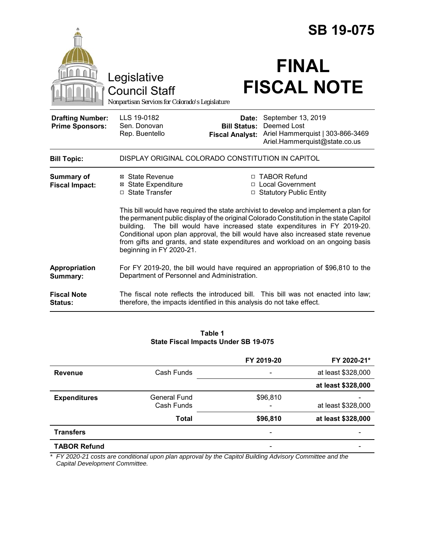|                                                   |                                                                                                                                                                                                                                                                                                                                                                                                                                                                                                                                                                                                              |                                                        | <b>SB 19-075</b>                                                                                       |  |  |
|---------------------------------------------------|--------------------------------------------------------------------------------------------------------------------------------------------------------------------------------------------------------------------------------------------------------------------------------------------------------------------------------------------------------------------------------------------------------------------------------------------------------------------------------------------------------------------------------------------------------------------------------------------------------------|--------------------------------------------------------|--------------------------------------------------------------------------------------------------------|--|--|
|                                                   | Legislative<br><b>Council Staff</b><br>Nonpartisan Services for Colorado's Legislature                                                                                                                                                                                                                                                                                                                                                                                                                                                                                                                       |                                                        | <b>FINAL</b><br><b>FISCAL NOTE</b>                                                                     |  |  |
| <b>Drafting Number:</b><br><b>Prime Sponsors:</b> | LLS 19-0182<br>Sen. Donovan<br>Rep. Buentello                                                                                                                                                                                                                                                                                                                                                                                                                                                                                                                                                                | Date:<br><b>Bill Status:</b><br><b>Fiscal Analyst:</b> | September 13, 2019<br>Deemed Lost<br>Ariel Hammerquist   303-866-3469<br>Ariel.Hammerquist@state.co.us |  |  |
| <b>Bill Topic:</b>                                | DISPLAY ORIGINAL COLORADO CONSTITUTION IN CAPITOL                                                                                                                                                                                                                                                                                                                                                                                                                                                                                                                                                            |                                                        |                                                                                                        |  |  |
| <b>Summary of</b><br><b>Fiscal Impact:</b>        | □ TABOR Refund<br>⊠ State Revenue<br><b>⊠</b> State Expenditure<br>□ Local Government<br>□ State Transfer<br>□ Statutory Public Entity<br>This bill would have required the state archivist to develop and implement a plan for<br>the permanent public display of the original Colorado Constitution in the state Capitol<br>The bill would have increased state expenditures in FY 2019-20.<br>buildina.<br>Conditional upon plan approval, the bill would have also increased state revenue<br>from gifts and grants, and state expenditures and workload on an ongoing basis<br>beginning in FY 2020-21. |                                                        |                                                                                                        |  |  |
| Appropriation<br>Summary:                         | For FY 2019-20, the bill would have required an appropriation of \$96,810 to the<br>Department of Personnel and Administration.                                                                                                                                                                                                                                                                                                                                                                                                                                                                              |                                                        |                                                                                                        |  |  |
| <b>Fiscal Note</b><br><b>Status:</b>              | The fiscal note reflects the introduced bill. This bill was not enacted into law;<br>therefore, the impacts identified in this analysis do not take effect.                                                                                                                                                                                                                                                                                                                                                                                                                                                  |                                                        |                                                                                                        |  |  |

#### **Table 1 State Fiscal Impacts Under SB 19-075**

|                     |                     | FY 2019-20               | FY 2020-21*        |
|---------------------|---------------------|--------------------------|--------------------|
| <b>Revenue</b>      | Cash Funds          |                          | at least \$328,000 |
|                     |                     |                          | at least \$328,000 |
| <b>Expenditures</b> | <b>General Fund</b> | \$96,810                 |                    |
|                     | Cash Funds          | $\overline{\phantom{a}}$ | at least \$328,000 |
|                     | <b>Total</b>        | \$96,810                 | at least \$328,000 |
| <b>Transfers</b>    |                     |                          |                    |
| <b>TABOR Refund</b> |                     | $\overline{\phantom{0}}$ |                    |

*\* FY 2020-21 costs are conditional upon plan approval by the Capitol Building Advisory Committee and the Capital Development Committee.*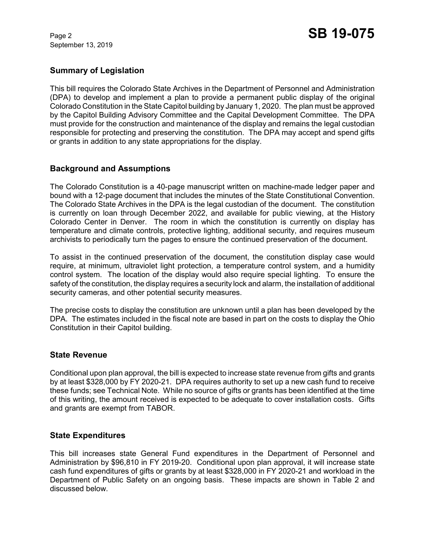September 13, 2019

## **Summary of Legislation**

This bill requires the Colorado State Archives in the Department of Personnel and Administration (DPA) to develop and implement a plan to provide a permanent public display of the original Colorado Constitution in the State Capitol building by January 1, 2020. The plan must be approved by the Capitol Building Advisory Committee and the Capital Development Committee. The DPA must provide for the construction and maintenance of the display and remains the legal custodian responsible for protecting and preserving the constitution. The DPA may accept and spend gifts or grants in addition to any state appropriations for the display.

## **Background and Assumptions**

The Colorado Constitution is a 40-page manuscript written on machine-made ledger paper and bound with a 12-page document that includes the minutes of the State Constitutional Convention. The Colorado State Archives in the DPA is the legal custodian of the document. The constitution is currently on loan through December 2022, and available for public viewing, at the History Colorado Center in Denver. The room in which the constitution is currently on display has temperature and climate controls, protective lighting, additional security, and requires museum archivists to periodically turn the pages to ensure the continued preservation of the document.

To assist in the continued preservation of the document, the constitution display case would require, at minimum, ultraviolet light protection, a temperature control system, and a humidity control system. The location of the display would also require special lighting. To ensure the safety of the constitution, the display requires a security lock and alarm, the installation of additional security cameras, and other potential security measures.

The precise costs to display the constitution are unknown until a plan has been developed by the DPA. The estimates included in the fiscal note are based in part on the costs to display the Ohio Constitution in their Capitol building.

#### **State Revenue**

Conditional upon plan approval, the bill is expected to increase state revenue from gifts and grants by at least \$328,000 by FY 2020-21. DPA requires authority to set up a new cash fund to receive these funds; see Technical Note. While no source of gifts or grants has been identified at the time of this writing, the amount received is expected to be adequate to cover installation costs. Gifts and grants are exempt from TABOR.

## **State Expenditures**

This bill increases state General Fund expenditures in the Department of Personnel and Administration by \$96,810 in FY 2019-20. Conditional upon plan approval, it will increase state cash fund expenditures of gifts or grants by at least \$328,000 in FY 2020-21 and workload in the Department of Public Safety on an ongoing basis. These impacts are shown in Table 2 and discussed below.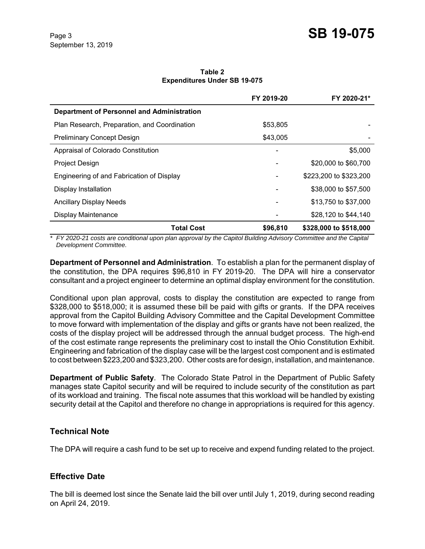**Table 2 Expenditures Under SB 19-075**

|                                                   | FY 2019-20 | FY 2020-21*            |
|---------------------------------------------------|------------|------------------------|
| <b>Department of Personnel and Administration</b> |            |                        |
| Plan Research, Preparation, and Coordination      | \$53,805   |                        |
| <b>Preliminary Concept Design</b>                 | \$43,005   |                        |
| Appraisal of Colorado Constitution                |            | \$5,000                |
| Project Design                                    |            | \$20,000 to \$60,700   |
| Engineering of and Fabrication of Display         |            | \$223,200 to \$323,200 |
| Display Installation                              |            | \$38,000 to \$57,500   |
| <b>Ancillary Display Needs</b>                    |            | \$13,750 to \$37,000   |
| Display Maintenance                               |            | \$28,120 to \$44,140   |
| <b>Total Cost</b>                                 | \$96,810   | \$328,000 to \$518,000 |

\* FY 2020-21 costs are conditional upon plan approval by the Capitol Building Advisory Committee and the Capital *Development Committee.*

**Department of Personnel and Administration**. To establish a plan for the permanent display of the constitution, the DPA requires \$96,810 in FY 2019-20. The DPA will hire a conservator consultant and a project engineer to determine an optimal display environment for the constitution.

Conditional upon plan approval, costs to display the constitution are expected to range from \$328,000 to \$518,000; it is assumed these bill be paid with gifts or grants. If the DPA receives approval from the Capitol Building Advisory Committee and the Capital Development Committee to move forward with implementation of the display and gifts or grants have not been realized, the costs of the display project will be addressed through the annual budget process. The high-end of the cost estimate range represents the preliminary cost to install the Ohio Constitution Exhibit. Engineering and fabrication of the display case will be the largest cost component and is estimated to cost between \$223,200 and \$323,200. Other costs are for design, installation, and maintenance.

**Department of Public Safety**. The Colorado State Patrol in the Department of Public Safety manages state Capitol security and will be required to include security of the constitution as part of its workload and training. The fiscal note assumes that this workload will be handled by existing security detail at the Capitol and therefore no change in appropriations is required for this agency.

## **Technical Note**

The DPA will require a cash fund to be set up to receive and expend funding related to the project.

## **Effective Date**

The bill is deemed lost since the Senate laid the bill over until July 1, 2019, during second reading on April 24, 2019.